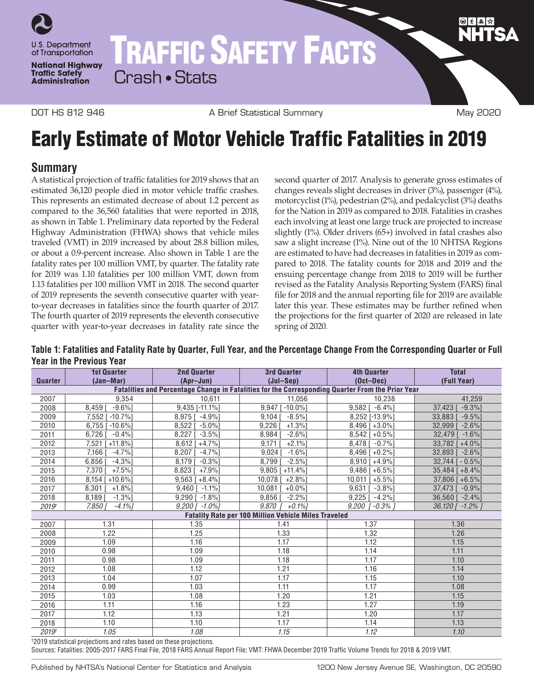

DOT HS 812 946 **A Brief Statistical Summary May 2020** May 2020

# Early Estimate of Motor Vehicle Traffic Fatalities in 2019

# **Summary**

A statistical projection of traffic fatalities for 2019 shows that an estimated 36,120 people died in motor vehicle traffic crashes. This represents an estimated decrease of about 1.2 percent as compared to the 36,560 fatalities that were reported in 2018, as shown in Table 1. Preliminary data reported by the Federal Highway Administration (FHWA) shows that vehicle miles traveled (VMT) in 2019 increased by about 28.8 billion miles, or about a 0.9-percent increase. Also shown in Table 1 are the fatality rates per 100 million VMT, by quarter. The fatality rate for 2019 was 1.10 fatalities per 100 million VMT, down from 1.13 fatalities per 100 million VMT in 2018. The second quarter of 2019 represents the seventh consecutive quarter with yearto-year decreases in fatalities since the fourth quarter of 2017. The fourth quarter of 2019 represents the eleventh consecutive quarter with year-to-year decreases in fatality rate since the

second quarter of 2017. Analysis to generate gross estimates of changes reveals slight decreases in driver (3%), passenger (4%), motorcyclist (1%), pedestrian (2%), and pedalcyclist (3%) deaths for the Nation in 2019 as compared to 2018. Fatalities in crashes each involving at least one large truck are projected to increase slightly (1%). Older drivers (65+) involved in fatal crashes also saw a slight increase (1%). Nine out of the 10 NHTSA Regions are estimated to have had decreases in fatalities in 2019 as compared to 2018. The fatality counts for 2018 and 2019 and the ensuing percentage change from 2018 to 2019 will be further revised as the Fatality Analysis Reporting System (FARS) final file for 2018 and the annual reporting file for 2019 are available later this year. These estimates may be further refined when the projections for the first quarter of 2020 are released in late spring of 2020.

**Table 1: Fatalities and Fatality Rate by Quarter, Full Year, and the Percentage Change From the Corresponding Quarter or Full Year in the Previous Year**

|                                                                                                  | <b>1st Quarter</b>     | <b>2nd Quarter</b>     | <b>3rd Quarter</b>    | <b>4th Quarter</b>   | <b>Total</b>        |
|--------------------------------------------------------------------------------------------------|------------------------|------------------------|-----------------------|----------------------|---------------------|
| <b>Quarter</b>                                                                                   | (Jan-Mar)              | (Apr-Jun)              | $(Jul-Sen)$           | $(Oct-Dec)$          | (Full Year)         |
| Fatalities and Percentage Change in Fatalities for the Corresponding Quarter From the Prior Year |                        |                        |                       |                      |                     |
| 2007                                                                                             | 9.354                  | 10,611                 | 11,056                | 10,238               | 41,259              |
| 2008                                                                                             | $-9.6%$ ]<br>8,459     | 9.435 [-11.1%]         | 9.947 [-10.0%]        | $9,582$ [ -6.4%]     | $-9.3%$<br>37.423   |
| 2009                                                                                             | $-10.7%$<br>$7,552$ [  | $-4.9%$<br>8.975       | $-8.5%$<br>9.104      | 8,252 [-13.9%]       | 33.883<br>$-9.5%$   |
| 2010                                                                                             | $6,755$ [ -10.6%]      | 8.522<br>$-5.0\%$      | $+1.3%$<br>9.226      | $8,496$ [ +3.0%]     | 32.999 I<br>$-2.6%$ |
| 2011                                                                                             | $-0.4%$<br>6,726       | $-3.5%$<br>8,227       | $-2.6%$<br>8,984      | $8,542$ [ +0.5%]     | 32,479<br>$-1.6%$   |
| 2012                                                                                             | $7,521$ [<br>$+11.8%$  | $8,612$ [ +4.7%]       | 9,171<br>$+2.1%$      | $8,478$ [ $-0.7\%$ ] | 33,782 [+4.0%]      |
| 2013                                                                                             | 7,166<br>$-4.7%$       | 8,207<br>$-4.7%$       | $-1.6%$<br>9,024      | $8,496$ [ +0.2%]     | 32,893 [<br>$-2.6%$ |
| 2014                                                                                             | 6,856<br>$-4.3%$       | 8,179<br>$-0.3%$       | 8,799<br>$-2.5%$      | $8,910$ [ +4.9%]     | $32,744$ [ - 0.5%]  |
| 2015                                                                                             | 7,370<br>$+7.5%$       | 8,823<br>$+7.9%$       | $9,805$ [ +11.4%]     | $9,486$ [ +6.5%]     | $35,484$ [ +8.4%]   |
| 2016                                                                                             | $8,154$ [<br>$+10.6\%$ | $9,563$ [ $+8.4\%$ ]   | $10,078$ [<br>$+2.8%$ | $10,011$ [ +5.5%]    | $37,806$ [ +6.5%]   |
| 2017                                                                                             | $+1.8%$<br>8.301       | $9.460$ $[$<br>$-1.1%$ | 10.081<br>$+0.0%$     | 9.6311<br>$-3.8%$ ]  | 37,473<br>$-0.9%$   |
| 2018                                                                                             | $-1.3%$<br>8,189       | $-1.8%$<br>9,290       | 9,856<br>$-2.2%$      | $-4.2%$<br>9,225     | 36,560<br>$-2.4%$   |
| 2019 <sup>t</sup>                                                                                | $-4.1%$<br>7,850       | $9,200$ [ $-1.0\%$ ]   | 9.870<br>$+0.1\%$     | 9.200<br>-0.3% i     | 36,120 [ -1.2% ]    |
| <b>Fatality Rate per 100 Million Vehicle Miles Traveled</b>                                      |                        |                        |                       |                      |                     |
| 2007                                                                                             | 1.31                   | 1.35                   | 1.41                  | 1.37                 | 1.36                |
| 2008                                                                                             | 1.22                   | 1.25                   | 1.33                  | 1.32                 | 1.26                |
| 2009                                                                                             | 1.09                   | 1.16                   | 1.17                  | 1.12                 | 1.15                |
| 2010                                                                                             | 0.98                   | 1.09                   | 1.18                  | 1.14                 | 1.11                |
| 2011                                                                                             | 0.98                   | 1.09                   | 1.18                  | 1.17                 | 1.10                |
| 2012                                                                                             | 1.08                   | 1.12                   | 1.21                  | 1.16                 | 1.14                |
| 2013                                                                                             | 1.04                   | 1.07                   | 1.17                  | 1.15                 | 1.10                |
| 2014                                                                                             | 0.99                   | 1.03                   | 1.11                  | 1.17                 | 1.08                |
| 2015                                                                                             | 1.03                   | 1.08                   | 1.20                  | 1.21                 | 1.15                |
| 2016                                                                                             | 1.11                   | 1.16                   | 1.23                  | 1.27                 | 1.19                |
| 2017                                                                                             | 1.12                   | 1.13                   | 1.21                  | 1.20                 | 1.17                |
| 2018                                                                                             | 1.10                   | 1.10                   | 1.17                  | 1.14                 | 1.13                |
| 2019 <sup>t</sup>                                                                                | 1.05                   | 1.08                   | 1.15                  | 1.12                 | 1.10                |

† 2019 statistical projections and rates based on these projections.

Sources: Fatalities: 2005-2017 FARS Final File, 2018 FARS Annual Report File; VMT: FHWA December 2019 Traffic Volume Trends for 2018 & 2019 VMT.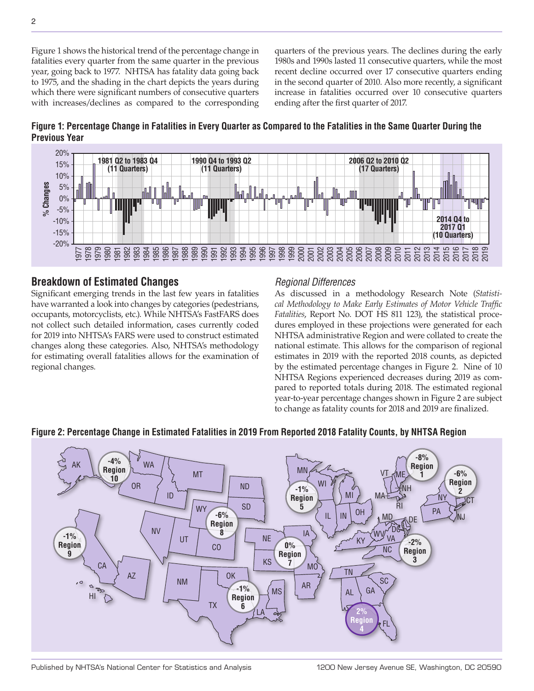Figure 1 shows the historical trend of the percentage change in fatalities every quarter from the same quarter in the previous year, going back to 1977. NHTSA has fatality data going back to 1975, and the shading in the chart depicts the years during which there were significant numbers of consecutive quarters with increases/declines as compared to the corresponding quarters of the previous years. The declines during the early 1980s and 1990s lasted 11 consecutive quarters, while the most recent decline occurred over 17 consecutive quarters ending in the second quarter of 2010. Also more recently, a significant increase in fatalities occurred over 10 consecutive quarters ending after the first quarter of 2017.





# **Breakdown of Estimated Changes**

Significant emerging trends in the last few years in fatalities have warranted a look into changes by categories (pedestrians, occupants, motorcyclists, etc.). While NHTSA's FastFARS does not collect such detailed information, cases currently coded for 2019 into NHTSA's FARS were used to construct estimated changes along these categories. Also, NHTSA's methodology for estimating overall fatalities allows for the examination of regional changes.

## *Regional Differences*

As discussed in a methodology Research Note (*Statistical Methodology to Make Early Estimates of Motor Vehicle Traffic Fatalities*, Report No. DOT HS 811 123), the statistical procedures employed in these projections were generated for each NHTSA administrative Region and were collated to create the national estimate. This allows for the comparison of regional estimates in 2019 with the reported 2018 counts, as depicted by the estimated percentage changes in Figure 2. Nine of 10 NHTSA Regions experienced decreases during 2019 as compared to reported totals during 2018. The estimated regional year-to-year percentage changes shown in Figure 2 are subject to change as fatality counts for 2018 and 2019 are finalized.



#### **Figure 2: Percentage Change in Estimated Fatalities in 2019 From Reported 2018 Fatality Counts, by NHTSA Region**

Published by NHTSA's National Center for Statistics and Analysis 1200 New Jersey Avenue SE, Washington, DC 20590